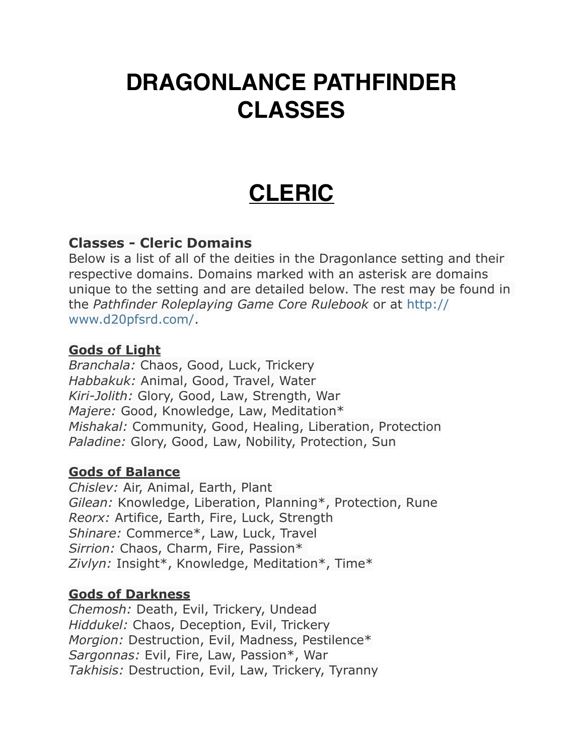# **DRAGONLANCE PATHFINDER CLASSES**

# **CLERIC**

#### **Classes - Cleric Domains**

Below is a list of all of the deities in the Dragonlance setting and their respective domains. Domains marked with an asterisk are domains unique to the setting and are detailed below. The rest may be found in the *Pathfinder Roleplaying Game Core Rulebook* or at [http://](http://www.d20pfsrd.com/) [www.d20pfsrd.com/.](http://www.d20pfsrd.com/)

#### **Gods of Light**

*Branchala:* Chaos, Good, Luck, Trickery *Habbakuk:* Animal, Good, Travel, Water *Kiri-Jolith:* Glory, Good, Law, Strength, War *Majere:* Good, Knowledge, Law, Meditation\* *Mishakal:* Community, Good, Healing, Liberation, Protection *Paladine:* Glory, Good, Law, Nobility, Protection, Sun

#### **Gods of Balance**

*Chislev:* Air, Animal, Earth, Plant *Gilean:* Knowledge, Liberation, Planning\*, Protection, Rune *Reorx:* Artifice, Earth, Fire, Luck, Strength *Shinare:* Commerce\*, Law, Luck, Travel *Sirrion:* Chaos, Charm, Fire, Passion\* *Zivlyn:* Insight\*, Knowledge, Meditation\*, Time\*

#### **Gods of Darkness**

*Chemosh:* Death, Evil, Trickery, Undead *Hiddukel:* Chaos, Deception, Evil, Trickery *Morgion:* Destruction, Evil, Madness, Pestilence\* *Sargonnas:* Evil, Fire, Law, Passion\*, War *Takhisis:* Destruction, Evil, Law, Trickery, Tyranny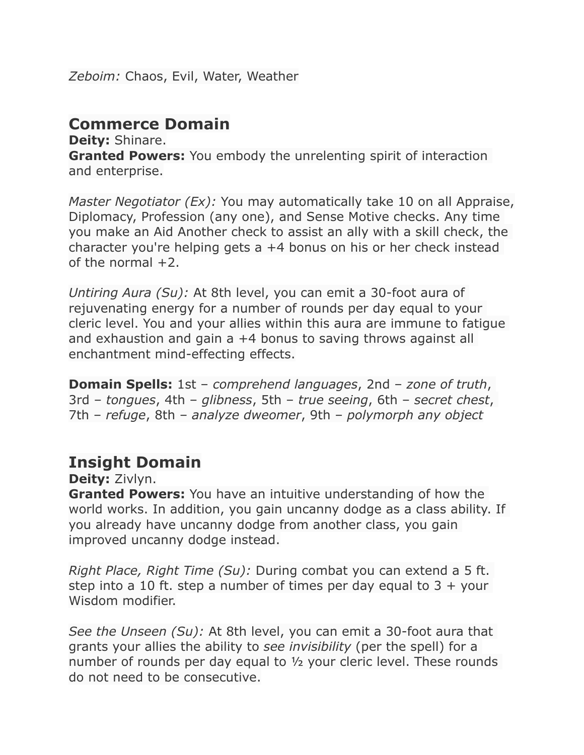*Zeboim:* Chaos, Evil, Water, Weather

## **Commerce Domain**

**Deity:** Shinare. **Granted Powers:** You embody the unrelenting spirit of interaction and enterprise.

*Master Negotiator (Ex):* You may automatically take 10 on all Appraise, Diplomacy, Profession (any one), and Sense Motive checks. Any time you make an Aid Another check to assist an ally with a skill check, the character you're helping gets a +4 bonus on his or her check instead of the normal  $+2$ .

*Untiring Aura (Su):* At 8th level, you can emit a 30-foot aura of rejuvenating energy for a number of rounds per day equal to your cleric level. You and your allies within this aura are immune to fatigue and exhaustion and gain a +4 bonus to saving throws against all enchantment mind-effecting effects.

**Domain Spells:** 1st – *comprehend languages*, 2nd – *zone of truth*, 3rd – *tongues*, 4th – *glibness*, 5th – *true seeing*, 6th – *secret chest*, 7th – *refuge*, 8th – *analyze dweomer*, 9th – *polymorph any object*

#### **Insight Domain**

**Deity:** Zivlyn.

**Granted Powers:** You have an intuitive understanding of how the world works. In addition, you gain uncanny dodge as a class ability. If you already have uncanny dodge from another class, you gain improved uncanny dodge instead.

*Right Place, Right Time (Su):* During combat you can extend a 5 ft. step into a 10 ft. step a number of times per day equal to  $3 +$  your Wisdom modifier.

*See the Unseen (Su):* At 8th level, you can emit a 30-foot aura that grants your allies the ability to *see invisibility* (per the spell) for a number of rounds per day equal to ½ your cleric level. These rounds do not need to be consecutive.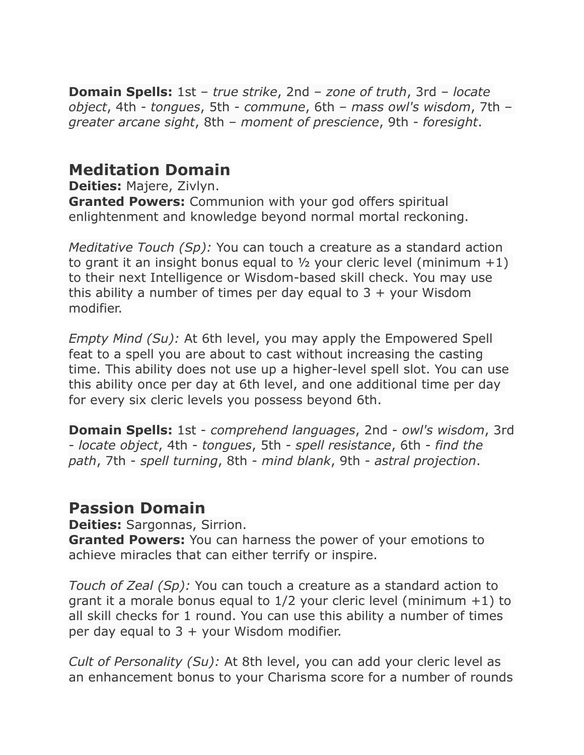**Domain Spells:** 1st – *true strike*, 2nd – *zone of truth*, 3rd – *locate object*, 4th - *tongues*, 5th - *commune*, 6th – *mass owl's wisdom*, 7th – *greater arcane sight*, 8th – *moment of prescience*, 9th - *foresight*.

## **Meditation Domain**

**Deities:** Majere, Zivlyn.

**Granted Powers:** Communion with your god offers spiritual enlightenment and knowledge beyond normal mortal reckoning.

*Meditative Touch (Sp):* You can touch a creature as a standard action to grant it an insight bonus equal to  $\frac{1}{2}$  your cleric level (minimum  $+1$ ) to their next Intelligence or Wisdom-based skill check. You may use this ability a number of times per day equal to  $3 +$  your Wisdom modifier.

*Empty Mind (Su):* At 6th level, you may apply the Empowered Spell feat to a spell you are about to cast without increasing the casting time. This ability does not use up a higher-level spell slot. You can use this ability once per day at 6th level, and one additional time per day for every six cleric levels you possess beyond 6th.

**Domain Spells:** 1st - *comprehend languages*, 2nd - *owl's wisdom*, 3rd - *locate object*, 4th - *tongues*, 5th - *spell resistance*, 6th - *find the path*, 7th - *spell turning*, 8th - *mind blank*, 9th - *astral projection*.

#### **Passion Domain**

**Deities:** Sargonnas, Sirrion.

**Granted Powers:** You can harness the power of your emotions to achieve miracles that can either terrify or inspire.

*Touch of Zeal (Sp):* You can touch a creature as a standard action to grant it a morale bonus equal to 1/2 your cleric level (minimum +1) to all skill checks for 1 round. You can use this ability a number of times per day equal to  $3 +$  your Wisdom modifier.

*Cult of Personality (Su):* At 8th level, you can add your cleric level as an enhancement bonus to your Charisma score for a number of rounds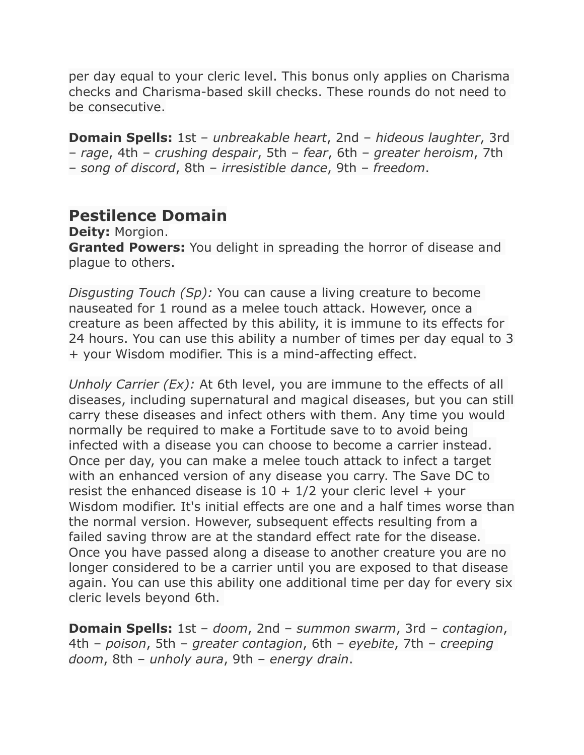per day equal to your cleric level. This bonus only applies on Charisma checks and Charisma-based skill checks. These rounds do not need to be consecutive.

**Domain Spells:** 1st – *unbreakable heart*, 2nd – *hideous laughter*, 3rd – *rage*, 4th – *crushing despair*, 5th – *fear*, 6th – *greater heroism*, 7th – *song of discord*, 8th – *irresistible dance*, 9th – *freedom*.

## **Pestilence Domain**

**Deity:** Morgion. **Granted Powers:** You delight in spreading the horror of disease and plague to others.

*Disgusting Touch (Sp):* You can cause a living creature to become nauseated for 1 round as a melee touch attack. However, once a creature as been affected by this ability, it is immune to its effects for 24 hours. You can use this ability a number of times per day equal to 3 + your Wisdom modifier. This is a mind-affecting effect.

*Unholy Carrier (Ex):* At 6th level, you are immune to the effects of all diseases, including supernatural and magical diseases, but you can still carry these diseases and infect others with them. Any time you would normally be required to make a Fortitude save to to avoid being infected with a disease you can choose to become a carrier instead. Once per day, you can make a melee touch attack to infect a target with an enhanced version of any disease you carry. The Save DC to resist the enhanced disease is  $10 + 1/2$  your cleric level + your Wisdom modifier. It's initial effects are one and a half times worse than the normal version. However, subsequent effects resulting from a failed saving throw are at the standard effect rate for the disease. Once you have passed along a disease to another creature you are no longer considered to be a carrier until you are exposed to that disease again. You can use this ability one additional time per day for every six cleric levels beyond 6th.

**Domain Spells:** 1st – *doom*, 2nd – *summon swarm*, 3rd – *contagion*, 4th – *poison*, 5th – *greater contagion*, 6th – *eyebite*, 7th – *creeping doom*, 8th – *unholy aura*, 9th – *energy drain*.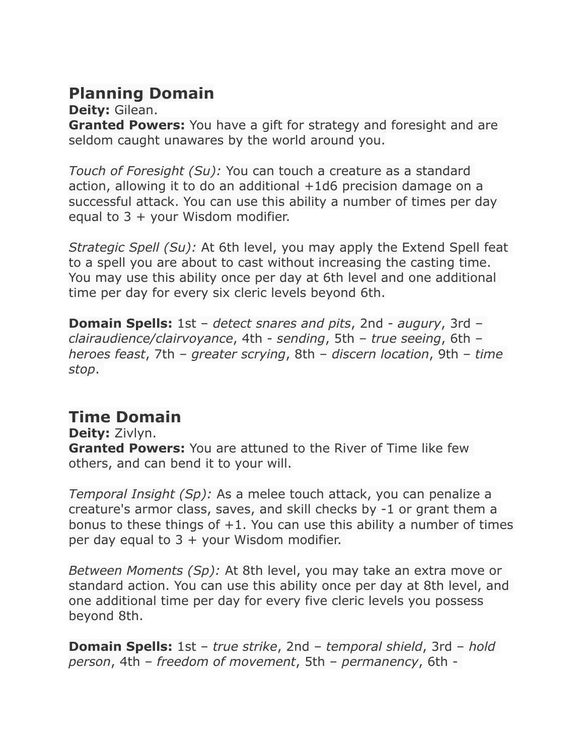## **Planning Domain**

**Deity:** Gilean.

**Granted Powers:** You have a gift for strategy and foresight and are seldom caught unawares by the world around you.

*Touch of Foresight (Su):* You can touch a creature as a standard action, allowing it to do an additional +1d6 precision damage on a successful attack. You can use this ability a number of times per day equal to  $3 +$  your Wisdom modifier.

*Strategic Spell (Su):* At 6th level, you may apply the Extend Spell feat to a spell you are about to cast without increasing the casting time. You may use this ability once per day at 6th level and one additional time per day for every six cleric levels beyond 6th.

**Domain Spells:** 1st – *detect snares and pits*, 2nd - *augury*, 3rd – *clairaudience/clairvoyance*, 4th - *sending*, 5th – *true seeing*, 6th – *heroes feast*, 7th – *greater scrying*, 8th – *discern location*, 9th – *time stop*.

# **Time Domain**

**Deity:** Zivlyn. **Granted Powers:** You are attuned to the River of Time like few others, and can bend it to your will.

*Temporal Insight (Sp):* As a melee touch attack, you can penalize a creature's armor class, saves, and skill checks by -1 or grant them a bonus to these things of  $+1$ . You can use this ability a number of times per day equal to  $3 +$  your Wisdom modifier.

*Between Moments (Sp):* At 8th level, you may take an extra move or standard action. You can use this ability once per day at 8th level, and one additional time per day for every five cleric levels you possess beyond 8th.

**Domain Spells:** 1st – *true strike*, 2nd – *temporal shield*, 3rd – *hold person*, 4th – *freedom of movement*, 5th – *permanency*, 6th -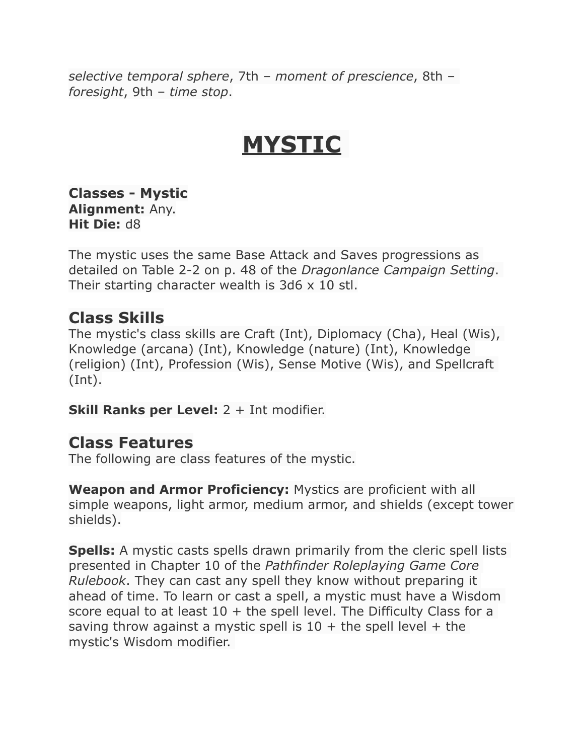*selective temporal sphere*, 7th – *moment of prescience*, 8th – *foresight*, 9th – *time stop*.

# **MYSTIC**

**Classes - Mystic Alignment:** Any. **Hit Die:** d8

The mystic uses the same Base Attack and Saves progressions as detailed on Table 2-2 on p. 48 of the *Dragonlance Campaign Setting*. Their starting character wealth is  $3d6 \times 10$  stl.

#### **Class Skills**

The mystic's class skills are Craft (Int), Diplomacy (Cha), Heal (Wis), Knowledge (arcana) (Int), Knowledge (nature) (Int), Knowledge (religion) (Int), Profession (Wis), Sense Motive (Wis), and Spellcraft (Int).

**Skill Ranks per Level:** 2 + Int modifier.

#### **Class Features**

The following are class features of the mystic.

**Weapon and Armor Proficiency:** Mystics are proficient with all simple weapons, light armor, medium armor, and shields (except tower shields).

**Spells:** A mystic casts spells drawn primarily from the cleric spell lists presented in Chapter 10 of the *Pathfinder Roleplaying Game Core Rulebook*. They can cast any spell they know without preparing it ahead of time. To learn or cast a spell, a mystic must have a Wisdom score equal to at least  $10 +$  the spell level. The Difficulty Class for a saving throw against a mystic spell is  $10 +$  the spell level + the mystic's Wisdom modifier.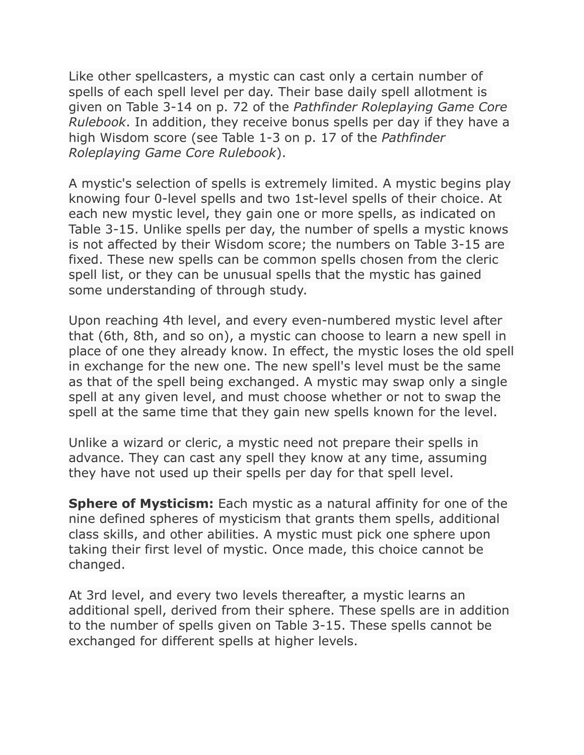Like other spellcasters, a mystic can cast only a certain number of spells of each spell level per day. Their base daily spell allotment is given on Table 3-14 on p. 72 of the *Pathfinder Roleplaying Game Core Rulebook*. In addition, they receive bonus spells per day if they have a high Wisdom score (see Table 1-3 on p. 17 of the *Pathfinder Roleplaying Game Core Rulebook*).

A mystic's selection of spells is extremely limited. A mystic begins play knowing four 0-level spells and two 1st-level spells of their choice. At each new mystic level, they gain one or more spells, as indicated on Table 3-15. Unlike spells per day, the number of spells a mystic knows is not affected by their Wisdom score; the numbers on Table 3-15 are fixed. These new spells can be common spells chosen from the cleric spell list, or they can be unusual spells that the mystic has gained some understanding of through study.

Upon reaching 4th level, and every even-numbered mystic level after that (6th, 8th, and so on), a mystic can choose to learn a new spell in place of one they already know. In effect, the mystic loses the old spell in exchange for the new one. The new spell's level must be the same as that of the spell being exchanged. A mystic may swap only a single spell at any given level, and must choose whether or not to swap the spell at the same time that they gain new spells known for the level.

Unlike a wizard or cleric, a mystic need not prepare their spells in advance. They can cast any spell they know at any time, assuming they have not used up their spells per day for that spell level.

**Sphere of Mysticism:** Each mystic as a natural affinity for one of the nine defined spheres of mysticism that grants them spells, additional class skills, and other abilities. A mystic must pick one sphere upon taking their first level of mystic. Once made, this choice cannot be changed.

At 3rd level, and every two levels thereafter, a mystic learns an additional spell, derived from their sphere. These spells are in addition to the number of spells given on Table 3-15. These spells cannot be exchanged for different spells at higher levels.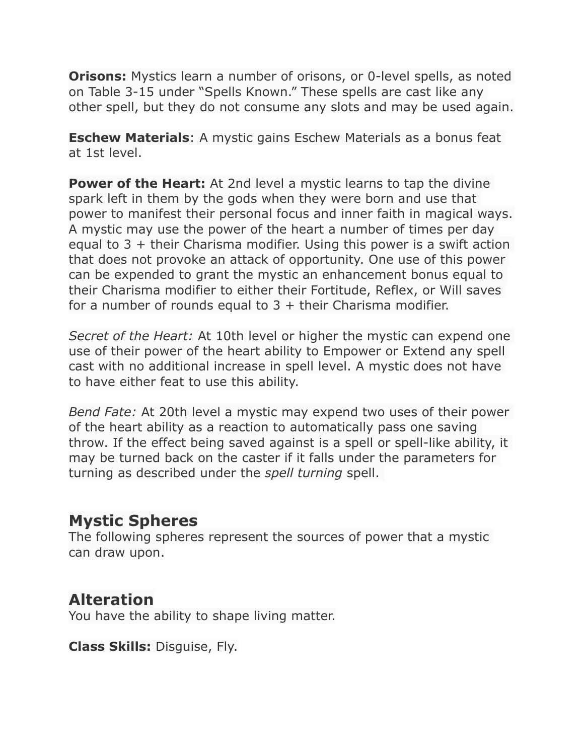**Orisons:** Mystics learn a number of orisons, or 0-level spells, as noted on Table 3-15 under "Spells Known." These spells are cast like any other spell, but they do not consume any slots and may be used again.

**Eschew Materials**: A mystic gains Eschew Materials as a bonus feat at 1st level.

**Power of the Heart:** At 2nd level a mystic learns to tap the divine spark left in them by the gods when they were born and use that power to manifest their personal focus and inner faith in magical ways. A mystic may use the power of the heart a number of times per day equal to 3 + their Charisma modifier. Using this power is a swift action that does not provoke an attack of opportunity. One use of this power can be expended to grant the mystic an enhancement bonus equal to their Charisma modifier to either their Fortitude, Reflex, or Will saves for a number of rounds equal to  $3 +$  their Charisma modifier.

*Secret of the Heart:* At 10th level or higher the mystic can expend one use of their power of the heart ability to Empower or Extend any spell cast with no additional increase in spell level. A mystic does not have to have either feat to use this ability.

*Bend Fate:* At 20th level a mystic may expend two uses of their power of the heart ability as a reaction to automatically pass one saving throw. If the effect being saved against is a spell or spell-like ability, it may be turned back on the caster if it falls under the parameters for turning as described under the *spell turning* spell.

#### **Mystic Spheres**

The following spheres represent the sources of power that a mystic can draw upon.

#### **Alteration**

You have the ability to shape living matter.

**Class Skills:** Disguise, Fly.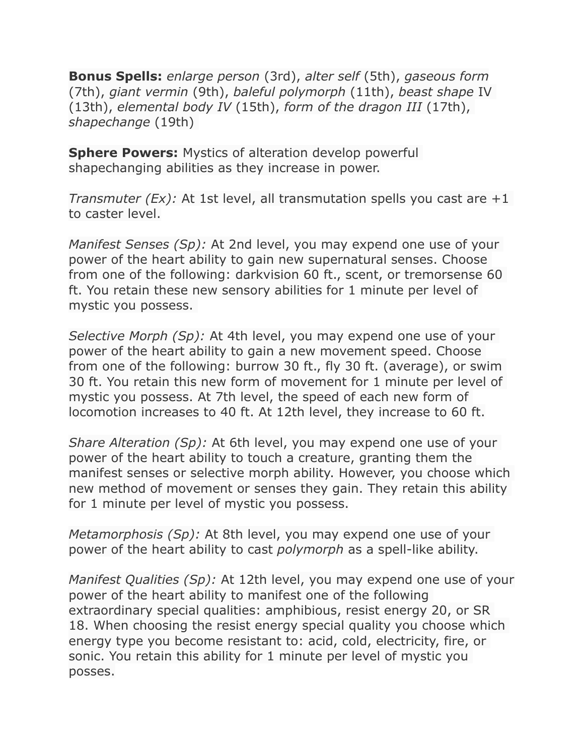**Bonus Spells:** *enlarge person* (3rd), *alter self* (5th), *gaseous form* (7th), *giant vermin* (9th), *baleful polymorph* (11th), *beast shape* IV (13th), *elemental body IV* (15th), *form of the dragon III* (17th), *shapechange* (19th)

**Sphere Powers:** Mystics of alteration develop powerful shapechanging abilities as they increase in power.

*Transmuter (Ex):* At 1st level, all transmutation spells you cast are +1 to caster level.

*Manifest Senses (Sp):* At 2nd level, you may expend one use of your power of the heart ability to gain new supernatural senses. Choose from one of the following: darkvision 60 ft., scent, or tremorsense 60 ft. You retain these new sensory abilities for 1 minute per level of mystic you possess.

*Selective Morph (Sp):* At 4th level, you may expend one use of your power of the heart ability to gain a new movement speed. Choose from one of the following: burrow 30 ft., fly 30 ft. (average), or swim 30 ft. You retain this new form of movement for 1 minute per level of mystic you possess. At 7th level, the speed of each new form of locomotion increases to 40 ft. At 12th level, they increase to 60 ft.

*Share Alteration (Sp):* At 6th level, you may expend one use of your power of the heart ability to touch a creature, granting them the manifest senses or selective morph ability. However, you choose which new method of movement or senses they gain. They retain this ability for 1 minute per level of mystic you possess.

*Metamorphosis (Sp):* At 8th level, you may expend one use of your power of the heart ability to cast *polymorph* as a spell-like ability.

*Manifest Qualities (Sp):* At 12th level, you may expend one use of your power of the heart ability to manifest one of the following extraordinary special qualities: amphibious, resist energy 20, or SR 18. When choosing the resist energy special quality you choose which energy type you become resistant to: acid, cold, electricity, fire, or sonic. You retain this ability for 1 minute per level of mystic you posses.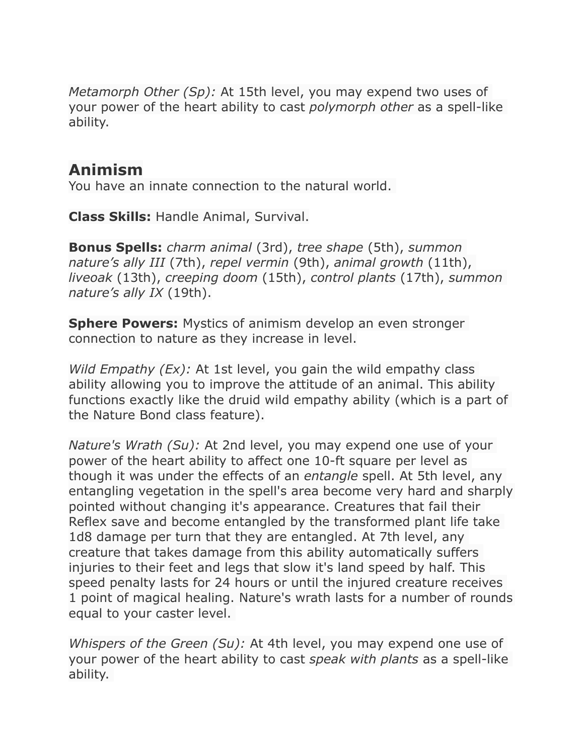*Metamorph Other (Sp):* At 15th level, you may expend two uses of your power of the heart ability to cast *polymorph other* as a spell-like ability.

## **Animism**

You have an innate connection to the natural world.

**Class Skills:** Handle Animal, Survival.

**Bonus Spells:** *charm animal* (3rd), *tree shape* (5th), *summon nature's ally III* (7th), *repel vermin* (9th), *animal growth* (11th), *liveoak* (13th), *creeping doom* (15th), *control plants* (17th), *summon nature's ally IX* (19th).

**Sphere Powers:** Mystics of animism develop an even stronger connection to nature as they increase in level.

*Wild Empathy (Ex):* At 1st level, you gain the wild empathy class ability allowing you to improve the attitude of an animal. This ability functions exactly like the druid wild empathy ability (which is a part of the Nature Bond class feature).

*Nature's Wrath (Su):* At 2nd level, you may expend one use of your power of the heart ability to affect one 10-ft square per level as though it was under the effects of an *entangle* spell. At 5th level, any entangling vegetation in the spell's area become very hard and sharply pointed without changing it's appearance. Creatures that fail their Reflex save and become entangled by the transformed plant life take 1d8 damage per turn that they are entangled. At 7th level, any creature that takes damage from this ability automatically suffers injuries to their feet and legs that slow it's land speed by half. This speed penalty lasts for 24 hours or until the injured creature receives 1 point of magical healing. Nature's wrath lasts for a number of rounds equal to your caster level.

*Whispers of the Green (Su):* At 4th level, you may expend one use of your power of the heart ability to cast *speak with plants* as a spell-like ability.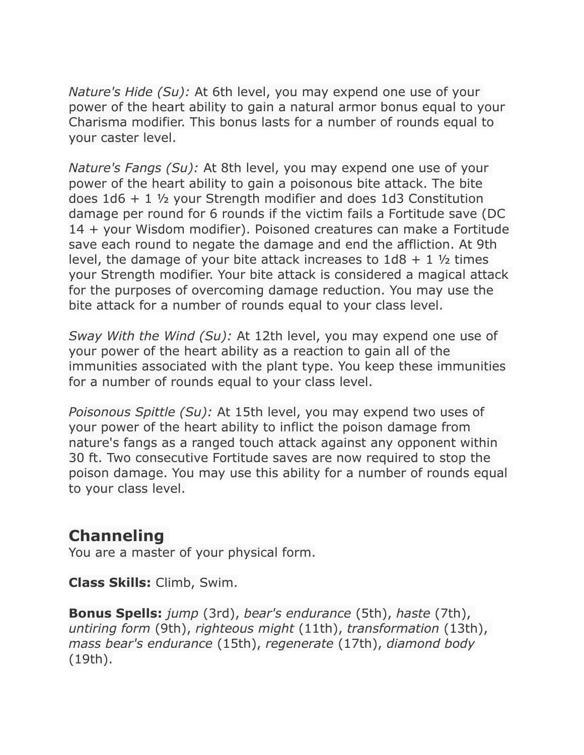*Nature's Hide (Su):* At 6th level, you may expend one use of your power of the heart ability to gain a natural armor bonus equal to your Charisma modifier. This bonus lasts for a number of rounds equal to your caster level.

*Nature's Fangs (Su):* At 8th level, you may expend one use of your power of the heart ability to gain a poisonous bite attack. The bite does 1d6 + 1 ½ your Strength modifier and does 1d3 Constitution damage per round for 6 rounds if the victim fails a Fortitude save (DC 14 + your Wisdom modifier). Poisoned creatures can make a Fortitude save each round to negate the damage and end the affliction. At 9th level, the damage of your bite attack increases to  $1d8 + 1$   $\frac{1}{2}$  times your Strength modifier. Your bite attack is considered a magical attack for the purposes of overcoming damage reduction. You may use the bite attack for a number of rounds equal to your class level.

*Sway With the Wind (Su):* At 12th level, you may expend one use of your power of the heart ability as a reaction to gain all of the immunities associated with the plant type. You keep these immunities for a number of rounds equal to your class level.

*Poisonous Spittle (Su):* At 15th level, you may expend two uses of your power of the heart ability to inflict the poison damage from nature's fangs as a ranged touch attack against any opponent within 30 ft. Two consecutive Fortitude saves are now required to stop the poison damage. You may use this ability for a number of rounds equal to your class level.

#### **Channeling**

You are a master of your physical form.

**Class Skills:** Climb, Swim.

**Bonus Spells:** *jump* (3rd), *bear's endurance* (5th), *haste* (7th), *untiring form* (9th), *righteous might* (11th), *transformation* (13th), *mass bear's endurance* (15th), *regenerate* (17th), *diamond body* (19th).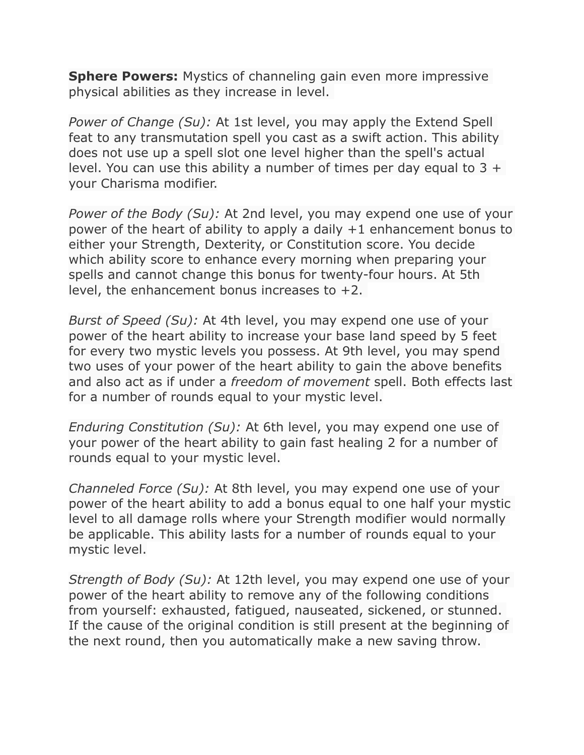**Sphere Powers:** Mystics of channeling gain even more impressive physical abilities as they increase in level.

*Power of Change (Su):* At 1st level, you may apply the Extend Spell feat to any transmutation spell you cast as a swift action. This ability does not use up a spell slot one level higher than the spell's actual level. You can use this ability a number of times per day equal to  $3 +$ your Charisma modifier.

*Power of the Body (Su):* At 2nd level, you may expend one use of your power of the heart of ability to apply a daily +1 enhancement bonus to either your Strength, Dexterity, or Constitution score. You decide which ability score to enhance every morning when preparing your spells and cannot change this bonus for twenty-four hours. At 5th level, the enhancement bonus increases to +2.

*Burst of Speed (Su):* At 4th level, you may expend one use of your power of the heart ability to increase your base land speed by 5 feet for every two mystic levels you possess. At 9th level, you may spend two uses of your power of the heart ability to gain the above benefits and also act as if under a *freedom of movement* spell. Both effects last for a number of rounds equal to your mystic level.

*Enduring Constitution (Su):* At 6th level, you may expend one use of your power of the heart ability to gain fast healing 2 for a number of rounds equal to your mystic level.

*Channeled Force (Su):* At 8th level, you may expend one use of your power of the heart ability to add a bonus equal to one half your mystic level to all damage rolls where your Strength modifier would normally be applicable. This ability lasts for a number of rounds equal to your mystic level.

*Strength of Body (Su):* At 12th level, you may expend one use of your power of the heart ability to remove any of the following conditions from yourself: exhausted, fatigued, nauseated, sickened, or stunned. If the cause of the original condition is still present at the beginning of the next round, then you automatically make a new saving throw.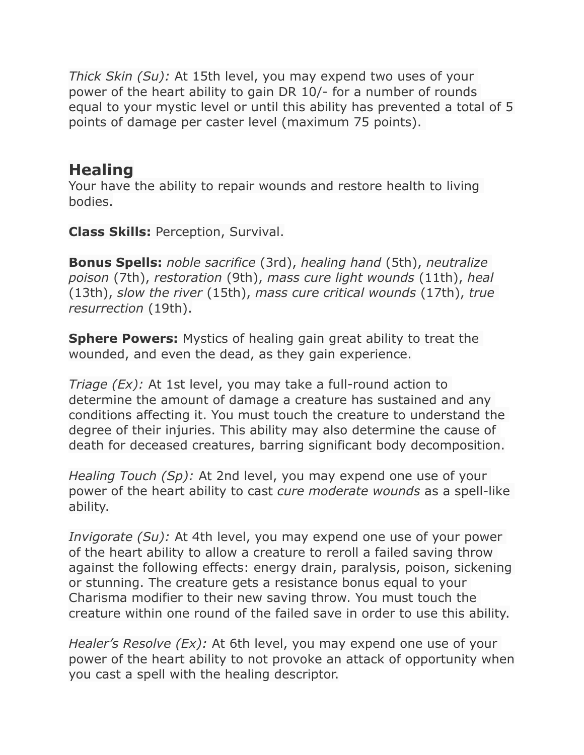*Thick Skin (Su):* At 15th level, you may expend two uses of your power of the heart ability to gain DR 10/- for a number of rounds equal to your mystic level or until this ability has prevented a total of 5 points of damage per caster level (maximum 75 points).

## **Healing**

Your have the ability to repair wounds and restore health to living bodies.

**Class Skills:** Perception, Survival.

**Bonus Spells:** *noble sacrifice* (3rd), *healing hand* (5th), *neutralize poison* (7th), *restoration* (9th), *mass cure light wounds* (11th), *heal* (13th), *slow the river* (15th), *mass cure critical wounds* (17th), *true resurrection* (19th).

**Sphere Powers:** Mystics of healing gain great ability to treat the wounded, and even the dead, as they gain experience.

*Triage (Ex):* At 1st level, you may take a full-round action to determine the amount of damage a creature has sustained and any conditions affecting it. You must touch the creature to understand the degree of their injuries. This ability may also determine the cause of death for deceased creatures, barring significant body decomposition.

*Healing Touch (Sp):* At 2nd level, you may expend one use of your power of the heart ability to cast *cure moderate wounds* as a spell-like ability.

*Invigorate (Su):* At 4th level, you may expend one use of your power of the heart ability to allow a creature to reroll a failed saving throw against the following effects: energy drain, paralysis, poison, sickening or stunning. The creature gets a resistance bonus equal to your Charisma modifier to their new saving throw. You must touch the creature within one round of the failed save in order to use this ability.

*Healer's Resolve (Ex):* At 6th level, you may expend one use of your power of the heart ability to not provoke an attack of opportunity when you cast a spell with the healing descriptor.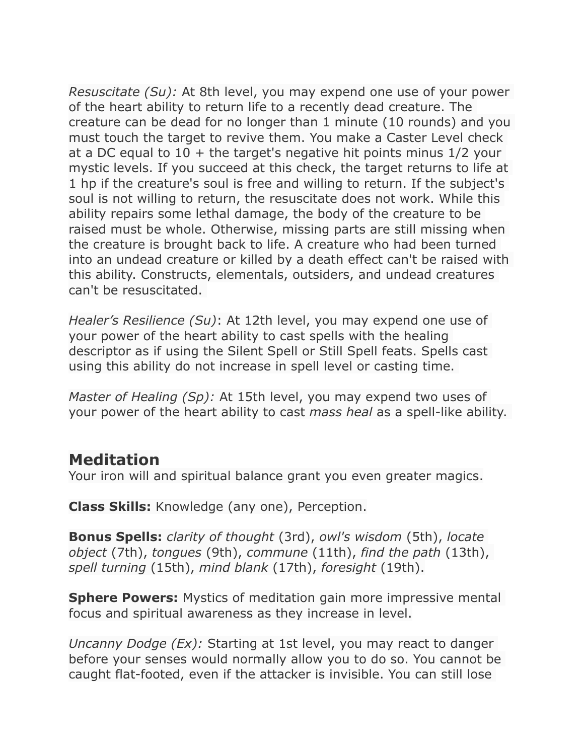*Resuscitate (Su):* At 8th level, you may expend one use of your power of the heart ability to return life to a recently dead creature. The creature can be dead for no longer than 1 minute (10 rounds) and you must touch the target to revive them. You make a Caster Level check at a DC equal to  $10 +$  the target's negative hit points minus  $1/2$  your mystic levels. If you succeed at this check, the target returns to life at 1 hp if the creature's soul is free and willing to return. If the subject's soul is not willing to return, the resuscitate does not work. While this ability repairs some lethal damage, the body of the creature to be raised must be whole. Otherwise, missing parts are still missing when the creature is brought back to life. A creature who had been turned into an undead creature or killed by a death effect can't be raised with this ability. Constructs, elementals, outsiders, and undead creatures can't be resuscitated.

*Healer's Resilience (Su)*: At 12th level, you may expend one use of your power of the heart ability to cast spells with the healing descriptor as if using the Silent Spell or Still Spell feats. Spells cast using this ability do not increase in spell level or casting time.

*Master of Healing (Sp):* At 15th level, you may expend two uses of your power of the heart ability to cast *mass heal* as a spell-like ability.

#### **Meditation**

Your iron will and spiritual balance grant you even greater magics.

**Class Skills:** Knowledge (any one), Perception.

**Bonus Spells:** *clarity of thought* (3rd), *owl's wisdom* (5th), *locate object* (7th), *tongues* (9th), *commune* (11th), *find the path* (13th), *spell turning* (15th), *mind blank* (17th), *foresight* (19th).

**Sphere Powers:** Mystics of meditation gain more impressive mental focus and spiritual awareness as they increase in level.

*Uncanny Dodge (Ex):* Starting at 1st level, you may react to danger before your senses would normally allow you to do so. You cannot be caught flat-footed, even if the attacker is invisible. You can still lose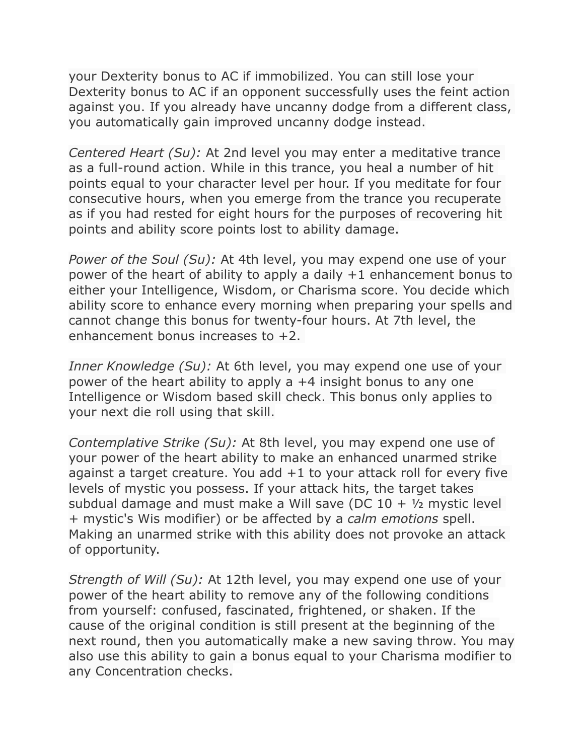your Dexterity bonus to AC if immobilized. You can still lose your Dexterity bonus to AC if an opponent successfully uses the feint action against you. If you already have uncanny dodge from a different class, you automatically gain improved uncanny dodge instead.

*Centered Heart (Su):* At 2nd level you may enter a meditative trance as a full-round action. While in this trance, you heal a number of hit points equal to your character level per hour. If you meditate for four consecutive hours, when you emerge from the trance you recuperate as if you had rested for eight hours for the purposes of recovering hit points and ability score points lost to ability damage.

*Power of the Soul (Su):* At 4th level, you may expend one use of your power of the heart of ability to apply a daily +1 enhancement bonus to either your Intelligence, Wisdom, or Charisma score. You decide which ability score to enhance every morning when preparing your spells and cannot change this bonus for twenty-four hours. At 7th level, the enhancement bonus increases to +2.

*Inner Knowledge (Su):* At 6th level, you may expend one use of your power of the heart ability to apply a +4 insight bonus to any one Intelligence or Wisdom based skill check. This bonus only applies to your next die roll using that skill.

*Contemplative Strike (Su):* At 8th level, you may expend one use of your power of the heart ability to make an enhanced unarmed strike against a target creature. You add  $+1$  to your attack roll for every five levels of mystic you possess. If your attack hits, the target takes subdual damage and must make a Will save (DC  $10 + \frac{1}{2}$  mystic level + mystic's Wis modifier) or be affected by a *calm emotions* spell. Making an unarmed strike with this ability does not provoke an attack of opportunity.

*Strength of Will (Su):* At 12th level, you may expend one use of your power of the heart ability to remove any of the following conditions from yourself: confused, fascinated, frightened, or shaken. If the cause of the original condition is still present at the beginning of the next round, then you automatically make a new saving throw. You may also use this ability to gain a bonus equal to your Charisma modifier to any Concentration checks.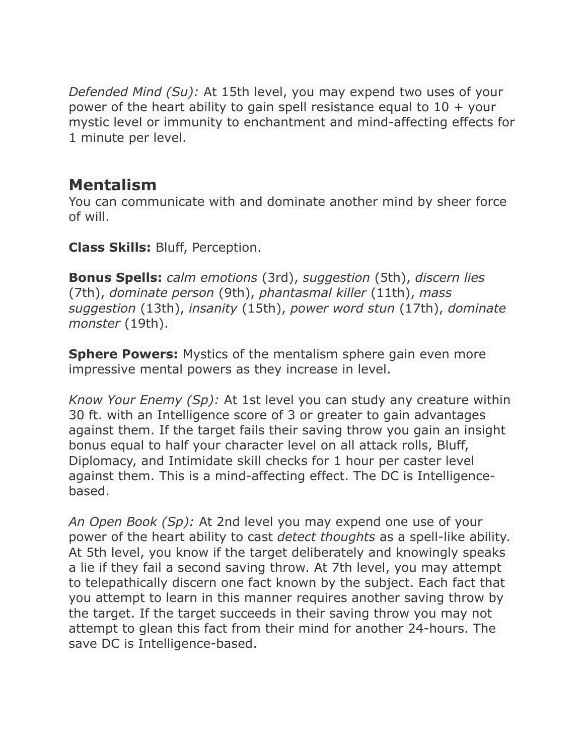*Defended Mind (Su):* At 15th level, you may expend two uses of your power of the heart ability to gain spell resistance equal to  $10 +$  your mystic level or immunity to enchantment and mind-affecting effects for 1 minute per level.

#### **Mentalism**

You can communicate with and dominate another mind by sheer force of will.

**Class Skills:** Bluff, Perception.

**Bonus Spells:** *calm emotions* (3rd), *suggestion* (5th), *discern lies* (7th), *dominate person* (9th), *phantasmal killer* (11th), *mass suggestion* (13th), *insanity* (15th), *power word stun* (17th), *dominate monster* (19th).

**Sphere Powers:** Mystics of the mentalism sphere gain even more impressive mental powers as they increase in level.

*Know Your Enemy (Sp):* At 1st level you can study any creature within 30 ft. with an Intelligence score of 3 or greater to gain advantages against them. If the target fails their saving throw you gain an insight bonus equal to half your character level on all attack rolls, Bluff, Diplomacy, and Intimidate skill checks for 1 hour per caster level against them. This is a mind-affecting effect. The DC is Intelligencebased.

*An Open Book (Sp):* At 2nd level you may expend one use of your power of the heart ability to cast *detect thoughts* as a spell-like ability. At 5th level, you know if the target deliberately and knowingly speaks a lie if they fail a second saving throw. At 7th level, you may attempt to telepathically discern one fact known by the subject. Each fact that you attempt to learn in this manner requires another saving throw by the target. If the target succeeds in their saving throw you may not attempt to glean this fact from their mind for another 24-hours. The save DC is Intelligence-based.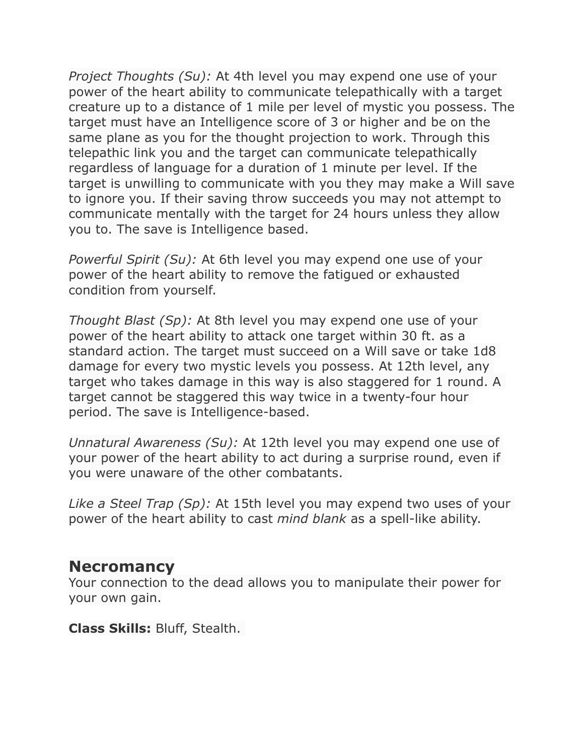*Project Thoughts (Su):* At 4th level you may expend one use of your power of the heart ability to communicate telepathically with a target creature up to a distance of 1 mile per level of mystic you possess. The target must have an Intelligence score of 3 or higher and be on the same plane as you for the thought projection to work. Through this telepathic link you and the target can communicate telepathically regardless of language for a duration of 1 minute per level. If the target is unwilling to communicate with you they may make a Will save to ignore you. If their saving throw succeeds you may not attempt to communicate mentally with the target for 24 hours unless they allow you to. The save is Intelligence based.

*Powerful Spirit (Su):* At 6th level you may expend one use of your power of the heart ability to remove the fatigued or exhausted condition from yourself.

*Thought Blast (Sp):* At 8th level you may expend one use of your power of the heart ability to attack one target within 30 ft. as a standard action. The target must succeed on a Will save or take 1d8 damage for every two mystic levels you possess. At 12th level, any target who takes damage in this way is also staggered for 1 round. A target cannot be staggered this way twice in a twenty-four hour period. The save is Intelligence-based.

*Unnatural Awareness (Su):* At 12th level you may expend one use of your power of the heart ability to act during a surprise round, even if you were unaware of the other combatants.

*Like a Steel Trap (Sp):* At 15th level you may expend two uses of your power of the heart ability to cast *mind blank* as a spell-like ability.

#### **Necromancy**

Your connection to the dead allows you to manipulate their power for your own gain.

**Class Skills:** Bluff, Stealth.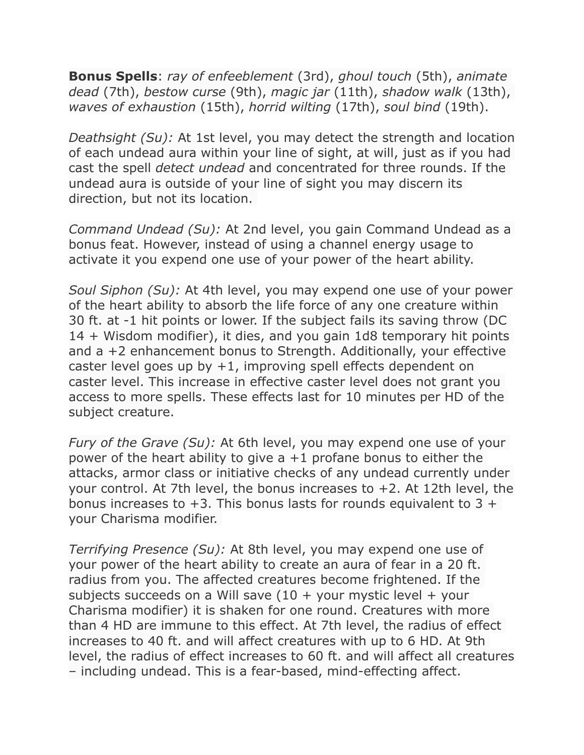**Bonus Spells**: *ray of enfeeblement* (3rd), *ghoul touch* (5th), *animate dead* (7th), *bestow curse* (9th), *magic jar* (11th), *shadow walk* (13th), *waves of exhaustion* (15th), *horrid wilting* (17th), *soul bind* (19th).

*Deathsight (Su):* At 1st level, you may detect the strength and location of each undead aura within your line of sight, at will, just as if you had cast the spell *detect undead* and concentrated for three rounds. If the undead aura is outside of your line of sight you may discern its direction, but not its location.

*Command Undead (Su):* At 2nd level, you gain Command Undead as a bonus feat. However, instead of using a channel energy usage to activate it you expend one use of your power of the heart ability.

*Soul Siphon (Su):* At 4th level, you may expend one use of your power of the heart ability to absorb the life force of any one creature within 30 ft. at -1 hit points or lower. If the subject fails its saving throw (DC 14 + Wisdom modifier), it dies, and you gain 1d8 temporary hit points and a +2 enhancement bonus to Strength. Additionally, your effective caster level goes up by  $+1$ , improving spell effects dependent on caster level. This increase in effective caster level does not grant you access to more spells. These effects last for 10 minutes per HD of the subject creature.

*Fury of the Grave (Su):* At 6th level, you may expend one use of your power of the heart ability to give  $a + 1$  profane bonus to either the attacks, armor class or initiative checks of any undead currently under your control. At 7th level, the bonus increases to +2. At 12th level, the bonus increases to  $+3$ . This bonus lasts for rounds equivalent to 3  $+$ your Charisma modifier.

*Terrifying Presence (Su):* At 8th level, you may expend one use of your power of the heart ability to create an aura of fear in a 20 ft. radius from you. The affected creatures become frightened. If the subjects succeeds on a Will save  $(10 +$  your mystic level + your Charisma modifier) it is shaken for one round. Creatures with more than 4 HD are immune to this effect. At 7th level, the radius of effect increases to 40 ft. and will affect creatures with up to 6 HD. At 9th level, the radius of effect increases to 60 ft. and will affect all creatures – including undead. This is a fear-based, mind-effecting affect.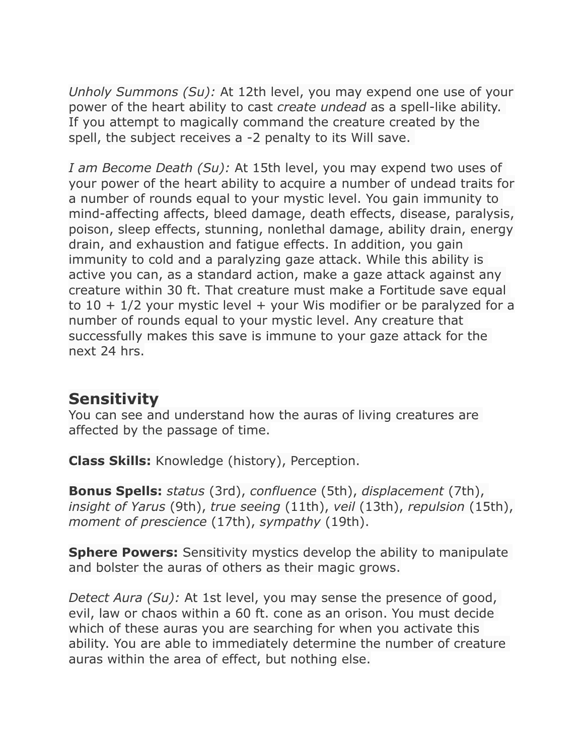*Unholy Summons (Su):* At 12th level, you may expend one use of your power of the heart ability to cast *create undead* as a spell-like ability. If you attempt to magically command the creature created by the spell, the subject receives a -2 penalty to its Will save.

*I am Become Death (Su):* At 15th level, you may expend two uses of your power of the heart ability to acquire a number of undead traits for a number of rounds equal to your mystic level. You gain immunity to mind-affecting affects, bleed damage, death effects, disease, paralysis, poison, sleep effects, stunning, nonlethal damage, ability drain, energy drain, and exhaustion and fatigue effects. In addition, you gain immunity to cold and a paralyzing gaze attack. While this ability is active you can, as a standard action, make a gaze attack against any creature within 30 ft. That creature must make a Fortitude save equal to  $10 + 1/2$  your mystic level + your Wis modifier or be paralyzed for a number of rounds equal to your mystic level. Any creature that successfully makes this save is immune to your gaze attack for the next 24 hrs.

## **Sensitivity**

You can see and understand how the auras of living creatures are affected by the passage of time.

**Class Skills:** Knowledge (history), Perception.

**Bonus Spells:** *status* (3rd), *confluence* (5th), *displacement* (7th), *insight of Yarus* (9th), *true seeing* (11th), *veil* (13th), *repulsion* (15th), *moment of prescience* (17th), *sympathy* (19th).

**Sphere Powers:** Sensitivity mystics develop the ability to manipulate and bolster the auras of others as their magic grows.

*Detect Aura (Su):* At 1st level, you may sense the presence of good, evil, law or chaos within a 60 ft. cone as an orison. You must decide which of these auras you are searching for when you activate this ability. You are able to immediately determine the number of creature auras within the area of effect, but nothing else.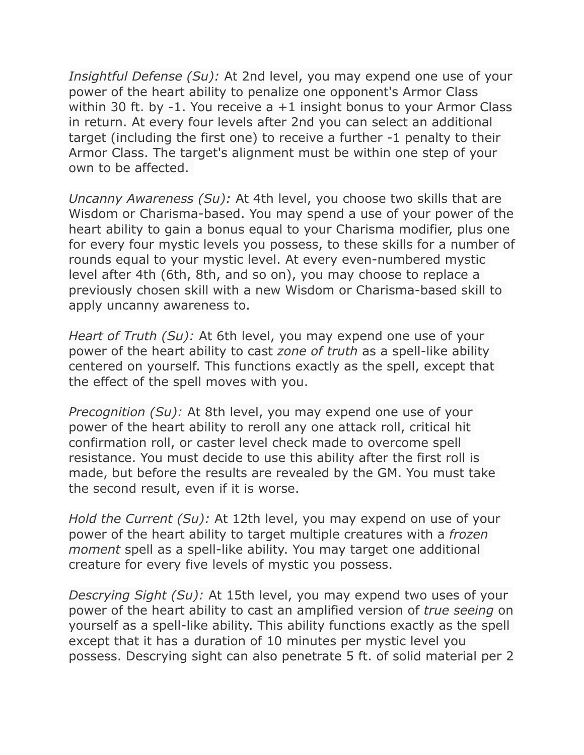*Insightful Defense (Su):* At 2nd level, you may expend one use of your power of the heart ability to penalize one opponent's Armor Class within 30 ft. by -1. You receive a +1 insight bonus to your Armor Class in return. At every four levels after 2nd you can select an additional target (including the first one) to receive a further -1 penalty to their Armor Class. The target's alignment must be within one step of your own to be affected.

*Uncanny Awareness (Su):* At 4th level, you choose two skills that are Wisdom or Charisma-based. You may spend a use of your power of the heart ability to gain a bonus equal to your Charisma modifier, plus one for every four mystic levels you possess, to these skills for a number of rounds equal to your mystic level. At every even-numbered mystic level after 4th (6th, 8th, and so on), you may choose to replace a previously chosen skill with a new Wisdom or Charisma-based skill to apply uncanny awareness to.

*Heart of Truth (Su):* At 6th level, you may expend one use of your power of the heart ability to cast *zone of truth* as a spell-like ability centered on yourself. This functions exactly as the spell, except that the effect of the spell moves with you.

*Precognition (Su):* At 8th level, you may expend one use of your power of the heart ability to reroll any one attack roll, critical hit confirmation roll, or caster level check made to overcome spell resistance. You must decide to use this ability after the first roll is made, but before the results are revealed by the GM. You must take the second result, even if it is worse.

*Hold the Current (Su):* At 12th level, you may expend on use of your power of the heart ability to target multiple creatures with a *frozen moment* spell as a spell-like ability. You may target one additional creature for every five levels of mystic you possess.

*Descrying Sight (Su):* At 15th level, you may expend two uses of your power of the heart ability to cast an amplified version of *true seeing* on yourself as a spell-like ability. This ability functions exactly as the spell except that it has a duration of 10 minutes per mystic level you possess. Descrying sight can also penetrate 5 ft. of solid material per 2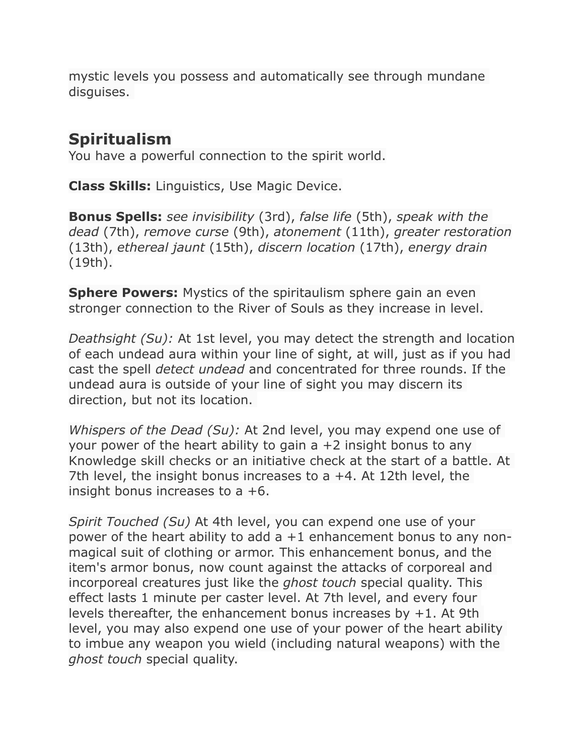mystic levels you possess and automatically see through mundane disguises.

## **Spiritualism**

You have a powerful connection to the spirit world.

**Class Skills:** Linguistics, Use Magic Device.

**Bonus Spells:** *see invisibility* (3rd), *false life* (5th), *speak with the dead* (7th), *remove curse* (9th), *atonement* (11th), *greater restoration* (13th), *ethereal jaunt* (15th), *discern location* (17th), *energy drain* (19th).

**Sphere Powers:** Mystics of the spiritaulism sphere gain an even stronger connection to the River of Souls as they increase in level.

*Deathsight (Su):* At 1st level, you may detect the strength and location of each undead aura within your line of sight, at will, just as if you had cast the spell *detect undead* and concentrated for three rounds. If the undead aura is outside of your line of sight you may discern its direction, but not its location.

*Whispers of the Dead (Su):* At 2nd level, you may expend one use of your power of the heart ability to gain  $a + 2$  insight bonus to any Knowledge skill checks or an initiative check at the start of a battle. At 7th level, the insight bonus increases to a +4. At 12th level, the insight bonus increases to a +6.

*Spirit Touched (Su)* At 4th level, you can expend one use of your power of the heart ability to add a +1 enhancement bonus to any nonmagical suit of clothing or armor. This enhancement bonus, and the item's armor bonus, now count against the attacks of corporeal and incorporeal creatures just like the *ghost touch* special quality. This effect lasts 1 minute per caster level. At 7th level, and every four levels thereafter, the enhancement bonus increases by +1. At 9th level, you may also expend one use of your power of the heart ability to imbue any weapon you wield (including natural weapons) with the *ghost touch* special quality.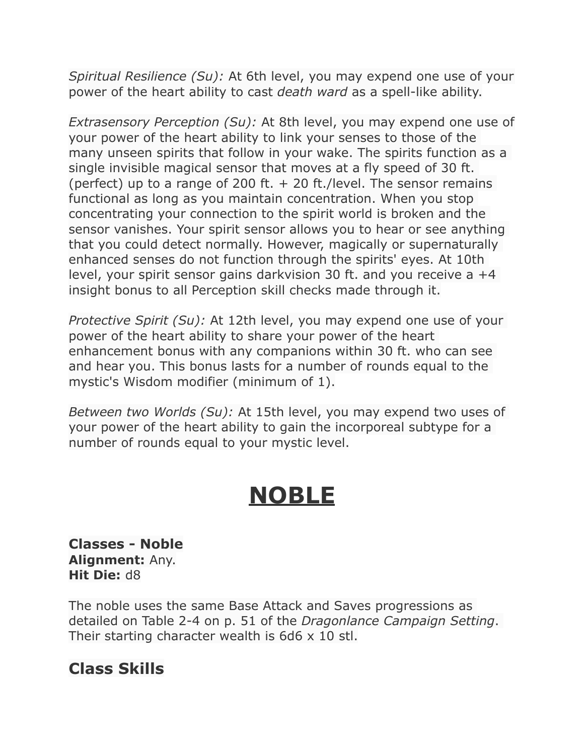*Spiritual Resilience (Su):* At 6th level, you may expend one use of your power of the heart ability to cast *death ward* as a spell-like ability.

*Extrasensory Perception (Su):* At 8th level, you may expend one use of your power of the heart ability to link your senses to those of the many unseen spirits that follow in your wake. The spirits function as a single invisible magical sensor that moves at a fly speed of 30 ft. (perfect) up to a range of 200 ft.  $+$  20 ft./level. The sensor remains functional as long as you maintain concentration. When you stop concentrating your connection to the spirit world is broken and the sensor vanishes. Your spirit sensor allows you to hear or see anything that you could detect normally. However, magically or supernaturally enhanced senses do not function through the spirits' eyes. At 10th level, your spirit sensor gains darkvision 30 ft. and you receive a +4 insight bonus to all Perception skill checks made through it.

*Protective Spirit (Su):* At 12th level, you may expend one use of your power of the heart ability to share your power of the heart enhancement bonus with any companions within 30 ft. who can see and hear you. This bonus lasts for a number of rounds equal to the mystic's Wisdom modifier (minimum of 1).

*Between two Worlds (Su):* At 15th level, you may expend two uses of your power of the heart ability to gain the incorporeal subtype for a number of rounds equal to your mystic level.

# **NOBLE**

**Classes - Noble Alignment:** Any. **Hit Die:** d8

The noble uses the same Base Attack and Saves progressions as detailed on Table 2-4 on p. 51 of the *Dragonlance Campaign Setting*. Their starting character wealth is  $6d6 \times 10$  stl.

## **Class Skills**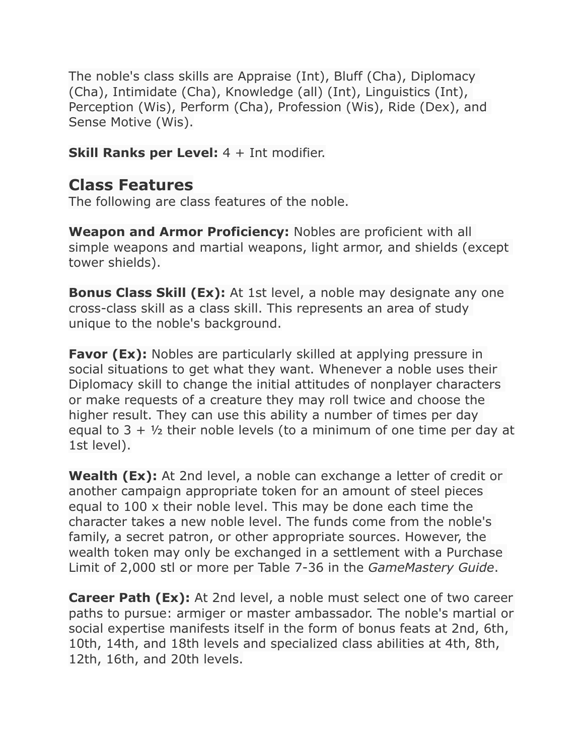The noble's class skills are Appraise (Int), Bluff (Cha), Diplomacy (Cha), Intimidate (Cha), Knowledge (all) (Int), Linguistics (Int), Perception (Wis), Perform (Cha), Profession (Wis), Ride (Dex), and Sense Motive (Wis).

**Skill Ranks per Level:** 4 + Int modifier.

#### **Class Features**

The following are class features of the noble.

**Weapon and Armor Proficiency:** Nobles are proficient with all simple weapons and martial weapons, light armor, and shields (except tower shields).

**Bonus Class Skill (Ex):** At 1st level, a noble may designate any one cross-class skill as a class skill. This represents an area of study unique to the noble's background.

**Favor (Ex):** Nobles are particularly skilled at applying pressure in social situations to get what they want. Whenever a noble uses their Diplomacy skill to change the initial attitudes of nonplayer characters or make requests of a creature they may roll twice and choose the higher result. They can use this ability a number of times per day equal to  $3 + \frac{1}{2}$  their noble levels (to a minimum of one time per day at 1st level).

**Wealth (Ex):** At 2nd level, a noble can exchange a letter of credit or another campaign appropriate token for an amount of steel pieces equal to 100 x their noble level. This may be done each time the character takes a new noble level. The funds come from the noble's family, a secret patron, or other appropriate sources. However, the wealth token may only be exchanged in a settlement with a Purchase Limit of 2,000 stl or more per Table 7-36 in the *GameMastery Guide*.

**Career Path (Ex):** At 2nd level, a noble must select one of two career paths to pursue: armiger or master ambassador. The noble's martial or social expertise manifests itself in the form of bonus feats at 2nd, 6th, 10th, 14th, and 18th levels and specialized class abilities at 4th, 8th, 12th, 16th, and 20th levels.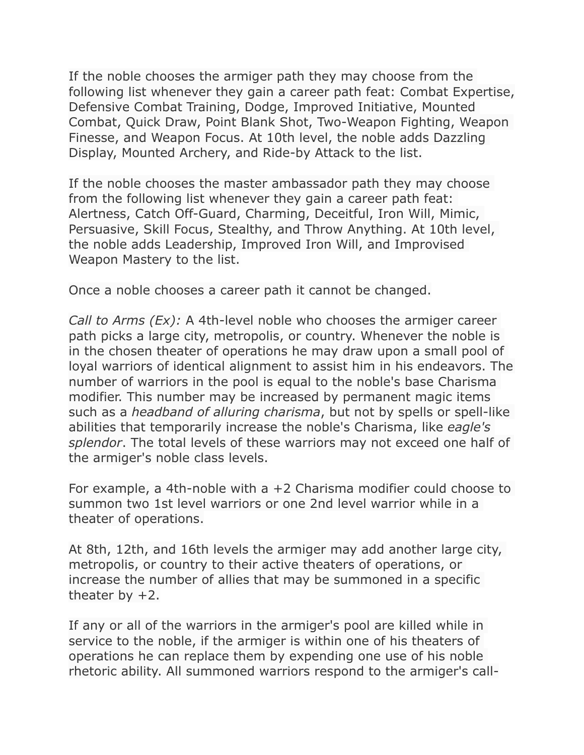If the noble chooses the armiger path they may choose from the following list whenever they gain a career path feat: Combat Expertise, Defensive Combat Training, Dodge, Improved Initiative, Mounted Combat, Quick Draw, Point Blank Shot, Two-Weapon Fighting, Weapon Finesse, and Weapon Focus. At 10th level, the noble adds Dazzling Display, Mounted Archery, and Ride-by Attack to the list.

If the noble chooses the master ambassador path they may choose from the following list whenever they gain a career path feat: Alertness, Catch Off-Guard, Charming, Deceitful, Iron Will, Mimic, Persuasive, Skill Focus, Stealthy, and Throw Anything. At 10th level, the noble adds Leadership, Improved Iron Will, and Improvised Weapon Mastery to the list.

Once a noble chooses a career path it cannot be changed.

*Call to Arms (Ex):* A 4th-level noble who chooses the armiger career path picks a large city, metropolis, or country. Whenever the noble is in the chosen theater of operations he may draw upon a small pool of loyal warriors of identical alignment to assist him in his endeavors. The number of warriors in the pool is equal to the noble's base Charisma modifier. This number may be increased by permanent magic items such as a *headband of alluring charisma*, but not by spells or spell-like abilities that temporarily increase the noble's Charisma, like *eagle's splendor*. The total levels of these warriors may not exceed one half of the armiger's noble class levels.

For example, a 4th-noble with a +2 Charisma modifier could choose to summon two 1st level warriors or one 2nd level warrior while in a theater of operations.

At 8th, 12th, and 16th levels the armiger may add another large city, metropolis, or country to their active theaters of operations, or increase the number of allies that may be summoned in a specific theater by  $+2$ .

If any or all of the warriors in the armiger's pool are killed while in service to the noble, if the armiger is within one of his theaters of operations he can replace them by expending one use of his noble rhetoric ability. All summoned warriors respond to the armiger's call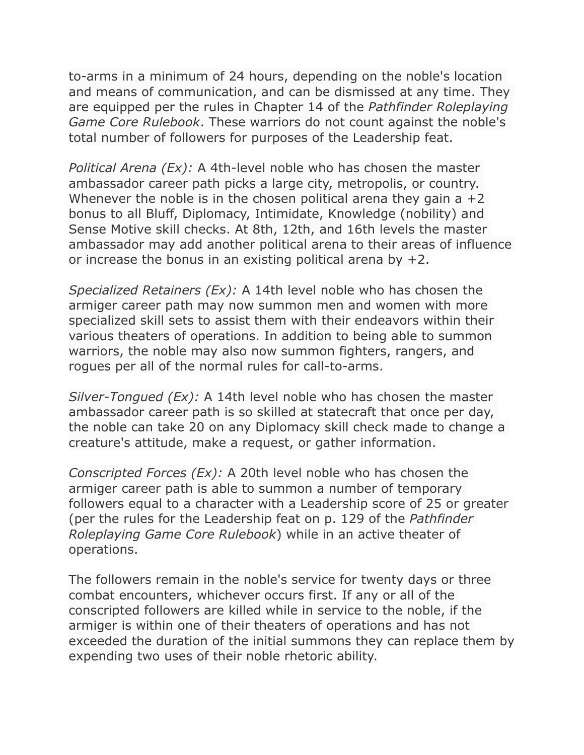to-arms in a minimum of 24 hours, depending on the noble's location and means of communication, and can be dismissed at any time. They are equipped per the rules in Chapter 14 of the *Pathfinder Roleplaying Game Core Rulebook*. These warriors do not count against the noble's total number of followers for purposes of the Leadership feat.

*Political Arena (Ex):* A 4th-level noble who has chosen the master ambassador career path picks a large city, metropolis, or country. Whenever the noble is in the chosen political arena they gain a  $+2$ bonus to all Bluff, Diplomacy, Intimidate, Knowledge (nobility) and Sense Motive skill checks. At 8th, 12th, and 16th levels the master ambassador may add another political arena to their areas of influence or increase the bonus in an existing political arena by  $+2$ .

*Specialized Retainers (Ex):* A 14th level noble who has chosen the armiger career path may now summon men and women with more specialized skill sets to assist them with their endeavors within their various theaters of operations. In addition to being able to summon warriors, the noble may also now summon fighters, rangers, and rogues per all of the normal rules for call-to-arms.

*Silver-Tongued (Ex):* A 14th level noble who has chosen the master ambassador career path is so skilled at statecraft that once per day, the noble can take 20 on any Diplomacy skill check made to change a creature's attitude, make a request, or gather information.

*Conscripted Forces (Ex):* A 20th level noble who has chosen the armiger career path is able to summon a number of temporary followers equal to a character with a Leadership score of 25 or greater (per the rules for the Leadership feat on p. 129 of the *Pathfinder Roleplaying Game Core Rulebook*) while in an active theater of operations.

The followers remain in the noble's service for twenty days or three combat encounters, whichever occurs first. If any or all of the conscripted followers are killed while in service to the noble, if the armiger is within one of their theaters of operations and has not exceeded the duration of the initial summons they can replace them by expending two uses of their noble rhetoric ability.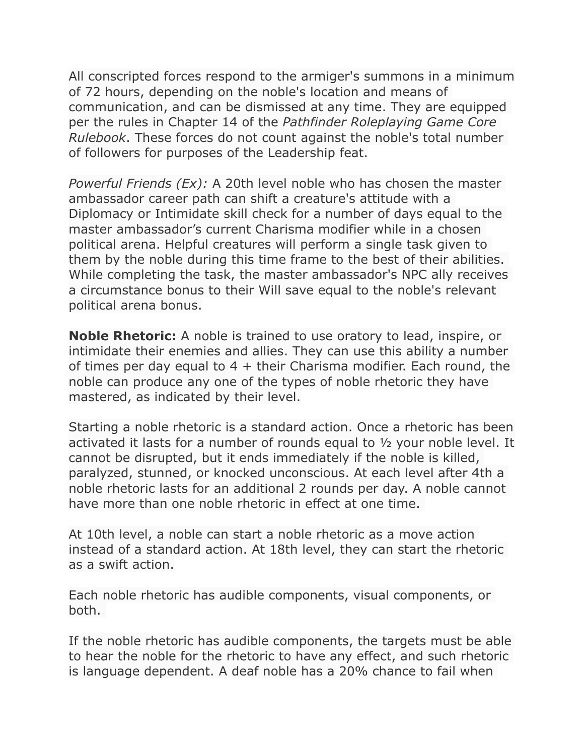All conscripted forces respond to the armiger's summons in a minimum of 72 hours, depending on the noble's location and means of communication, and can be dismissed at any time. They are equipped per the rules in Chapter 14 of the *Pathfinder Roleplaying Game Core Rulebook*. These forces do not count against the noble's total number of followers for purposes of the Leadership feat.

*Powerful Friends (Ex):* A 20th level noble who has chosen the master ambassador career path can shift a creature's attitude with a Diplomacy or Intimidate skill check for a number of days equal to the master ambassador's current Charisma modifier while in a chosen political arena. Helpful creatures will perform a single task given to them by the noble during this time frame to the best of their abilities. While completing the task, the master ambassador's NPC ally receives a circumstance bonus to their Will save equal to the noble's relevant political arena bonus.

**Noble Rhetoric:** A noble is trained to use oratory to lead, inspire, or intimidate their enemies and allies. They can use this ability a number of times per day equal to  $4 +$  their Charisma modifier. Each round, the noble can produce any one of the types of noble rhetoric they have mastered, as indicated by their level.

Starting a noble rhetoric is a standard action. Once a rhetoric has been activated it lasts for a number of rounds equal to ½ your noble level. It cannot be disrupted, but it ends immediately if the noble is killed, paralyzed, stunned, or knocked unconscious. At each level after 4th a noble rhetoric lasts for an additional 2 rounds per day. A noble cannot have more than one noble rhetoric in effect at one time.

At 10th level, a noble can start a noble rhetoric as a move action instead of a standard action. At 18th level, they can start the rhetoric as a swift action.

Each noble rhetoric has audible components, visual components, or both.

If the noble rhetoric has audible components, the targets must be able to hear the noble for the rhetoric to have any effect, and such rhetoric is language dependent. A deaf noble has a 20% chance to fail when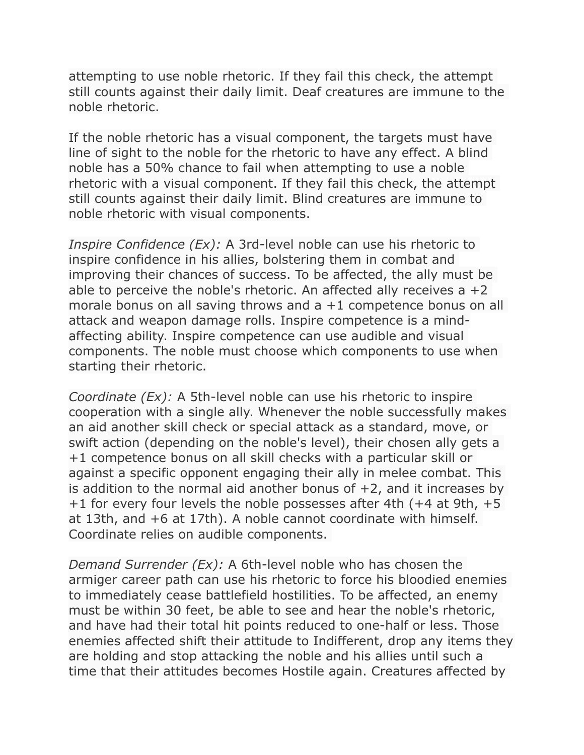attempting to use noble rhetoric. If they fail this check, the attempt still counts against their daily limit. Deaf creatures are immune to the noble rhetoric.

If the noble rhetoric has a visual component, the targets must have line of sight to the noble for the rhetoric to have any effect. A blind noble has a 50% chance to fail when attempting to use a noble rhetoric with a visual component. If they fail this check, the attempt still counts against their daily limit. Blind creatures are immune to noble rhetoric with visual components.

*Inspire Confidence (Ex):* A 3rd-level noble can use his rhetoric to inspire confidence in his allies, bolstering them in combat and improving their chances of success. To be affected, the ally must be able to perceive the noble's rhetoric. An affected ally receives a  $+2$ morale bonus on all saving throws and a +1 competence bonus on all attack and weapon damage rolls. Inspire competence is a mindaffecting ability. Inspire competence can use audible and visual components. The noble must choose which components to use when starting their rhetoric.

*Coordinate (Ex):* A 5th-level noble can use his rhetoric to inspire cooperation with a single ally. Whenever the noble successfully makes an aid another skill check or special attack as a standard, move, or swift action (depending on the noble's level), their chosen ally gets a +1 competence bonus on all skill checks with a particular skill or against a specific opponent engaging their ally in melee combat. This is addition to the normal aid another bonus of  $+2$ , and it increases by +1 for every four levels the noble possesses after 4th (+4 at 9th, +5 at 13th, and +6 at 17th). A noble cannot coordinate with himself. Coordinate relies on audible components.

*Demand Surrender (Ex):* A 6th-level noble who has chosen the armiger career path can use his rhetoric to force his bloodied enemies to immediately cease battlefield hostilities. To be affected, an enemy must be within 30 feet, be able to see and hear the noble's rhetoric, and have had their total hit points reduced to one-half or less. Those enemies affected shift their attitude to Indifferent, drop any items they are holding and stop attacking the noble and his allies until such a time that their attitudes becomes Hostile again. Creatures affected by